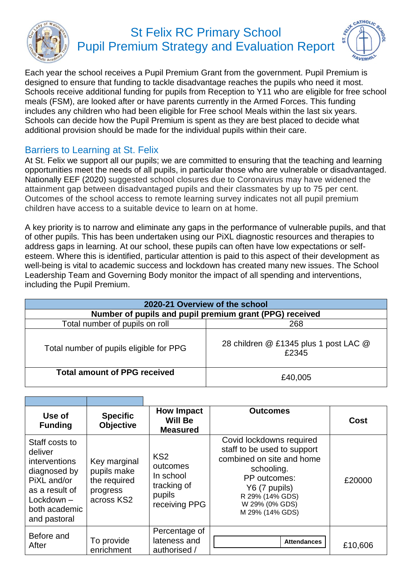

## St Felix RC Primary School Pupil Premium Strategy and Evaluation Report



Each year the school receives a Pupil Premium Grant from the government. Pupil Premium is designed to ensure that funding to tackle disadvantage reaches the pupils who need it most. Schools receive additional funding for pupils from Reception to Y11 who are eligible for free school meals (FSM), are looked after or have parents currently in the Armed Forces. This funding includes any children who had been eligible for Free school Meals within the last six years. Schools can decide how the Pupil Premium is spent as they are best placed to decide what additional provision should be made for the individual pupils within their care.

## Barriers to Learning at St. Felix

At St. Felix we support all our pupils; we are committed to ensuring that the teaching and learning opportunities meet the needs of all pupils, in particular those who are vulnerable or disadvantaged. Nationally EEF (2020) suggested school closures due to Coronavirus may have widened the attainment gap between disadvantaged pupils and their classmates by up to 75 per cent. Outcomes of the school access to remote learning survey indicates not all pupil premium children have access to a suitable device to learn on at home.

A key priority is to narrow and eliminate any gaps in the performance of vulnerable pupils, and that of other pupils. This has been undertaken using our PiXL diagnostic resources and therapies to address gaps in learning. At our school, these pupils can often have low expectations or selfesteem. Where this is identified, particular attention is paid to this aspect of their development as well-being is vital to academic success and lockdown has created many new issues. The School Leadership Team and Governing Body monitor the impact of all spending and interventions, including the Pupil Premium.

| 2020-21 Overview of the school                          |                                                |  |  |  |
|---------------------------------------------------------|------------------------------------------------|--|--|--|
| Number of pupils and pupil premium grant (PPG) received |                                                |  |  |  |
| Total number of pupils on roll                          | 268                                            |  |  |  |
| Total number of pupils eligible for PPG                 | 28 children @ £1345 plus 1 post LAC @<br>£2345 |  |  |  |
| <b>Total amount of PPG received</b>                     | £40,005                                        |  |  |  |

| Use of<br><b>Funding</b>                                                                                                                            | <b>Specific</b><br><b>Objective</b>                                   | <b>How Impact</b><br><b>Will Be</b><br><b>Measured</b>                             | <b>Outcomes</b>                                                                                                                                                                             | Cost    |
|-----------------------------------------------------------------------------------------------------------------------------------------------------|-----------------------------------------------------------------------|------------------------------------------------------------------------------------|---------------------------------------------------------------------------------------------------------------------------------------------------------------------------------------------|---------|
| Staff costs to<br>deliver<br><i>interventions</i><br>diagnosed by<br>PiXL and/or<br>as a result of<br>$Lockdown -$<br>both academic<br>and pastoral | Key marginal<br>pupils make<br>the required<br>progress<br>across KS2 | KS <sub>2</sub><br>outcomes<br>In school<br>tracking of<br>pupils<br>receiving PPG | Covid lockdowns required<br>staff to be used to support<br>combined on site and home<br>schooling.<br>PP outcomes:<br>Y6 (7 pupils)<br>R 29% (14% GDS)<br>W 29% (0% GDS)<br>M 29% (14% GDS) | £20000  |
| Before and<br>After                                                                                                                                 | To provide<br>enrichment                                              | Percentage of<br>lateness and<br>authorised /                                      | <b>Attendances</b>                                                                                                                                                                          | £10,606 |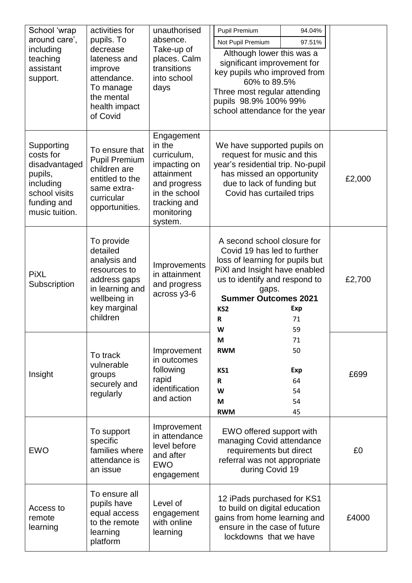| School 'wrap<br>around care',<br>including<br>teaching<br>assistant<br>support.                                    | activities for<br>pupils. To<br>decrease<br>lateness and<br>improve<br>attendance.<br>To manage<br>the mental<br>health impact<br>of Covid | unauthorised<br>absence.<br>Take-up of<br>places. Calm<br>transitions<br>into school<br>days                                                | Pupil Premium<br>94.04%<br>Not Pupil Premium<br>97.51%<br>Although lower this was a<br>significant improvement for<br>key pupils who improved from<br>60% to 89.5%<br>Three most regular attending<br>pupils 98.9% 100% 99%<br>school attendance for the year |  |        |
|--------------------------------------------------------------------------------------------------------------------|--------------------------------------------------------------------------------------------------------------------------------------------|---------------------------------------------------------------------------------------------------------------------------------------------|---------------------------------------------------------------------------------------------------------------------------------------------------------------------------------------------------------------------------------------------------------------|--|--------|
| Supporting<br>costs for<br>disadvantaged<br>pupils,<br>including<br>school visits<br>funding and<br>music tuition. | To ensure that<br><b>Pupil Premium</b><br>children are<br>entitled to the<br>same extra-<br>curricular<br>opportunities.                   | Engagement<br>in the<br>curriculum,<br>impacting on<br>attainment<br>and progress<br>in the school<br>tracking and<br>monitoring<br>system. | We have supported pupils on<br>request for music and this<br>year's residential trip. No-pupil<br>has missed an opportunity<br>due to lack of funding but<br>Covid has curtailed trips                                                                        |  | £2,000 |
| <b>PiXL</b><br>Subscription                                                                                        | To provide<br>detailed<br>analysis and<br>resources to<br>address gaps<br>in learning and<br>wellbeing in<br>key marginal<br>children      | Improvements<br>in attainment<br>and progress<br>across y3-6                                                                                | A second school closure for<br>Covid 19 has led to further<br>loss of learning for pupils but<br>PiXI and Insight have enabled<br>us to identify and respond to<br>gaps.<br><b>Summer Outcomes 2021</b><br>KS <sub>2</sub><br>Exp<br>R<br>71<br>W<br>59       |  | £2,700 |
| Insight                                                                                                            | To track<br>vulnerable<br>groups<br>securely and<br>regularly                                                                              | Improvement<br>in outcomes<br>following<br>rapid<br>identification<br>and action                                                            | M<br>71<br>50<br><b>RWM</b><br>Exp<br>KS1<br>64<br>R<br>W<br>54<br>54<br>M<br><b>RWM</b><br>45                                                                                                                                                                |  | £699   |
| <b>EWO</b>                                                                                                         | To support<br>specific<br>families where<br>attendance is<br>an issue                                                                      | Improvement<br>in attendance<br>level before<br>and after<br><b>EWO</b><br>engagement                                                       | EWO offered support with<br>managing Covid attendance<br>requirements but direct<br>referral was not appropriate<br>during Covid 19                                                                                                                           |  | £0     |
| Access to<br>remote<br>learning                                                                                    | To ensure all<br>pupils have<br>equal access<br>to the remote<br>learning<br>platform                                                      | Level of<br>engagement<br>with online<br>learning                                                                                           | 12 iPads purchased for KS1<br>to build on digital education<br>gains from home learning and<br>ensure in the case of future<br>lockdowns that we have                                                                                                         |  | £4000  |